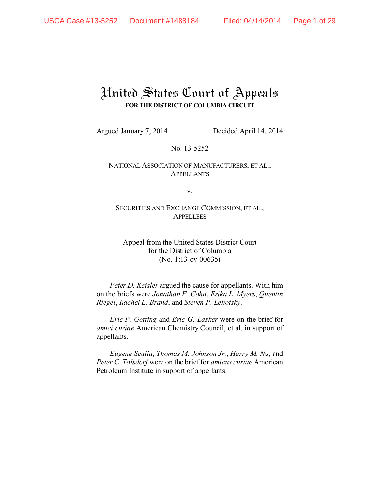# United States Court of Appeals **FOR THE DISTRICT OF COLUMBIA CIRCUIT**

Argued January 7, 2014 Decided April 14, 2014

No. 13-5252

NATIONAL ASSOCIATION OF MANUFACTURERS, ET AL., APPELLANTS

v.

SECURITIES AND EXCHANGE COMMISSION, ET AL., **APPELLEES** 

Appeal from the United States District Court for the District of Columbia (No. 1:13-cv-00635)

*Peter D. Keisler* argued the cause for appellants. With him on the briefs were *Jonathan F. Cohn*, *Erika L. Myers*, *Quentin Riegel*, *Rachel L. Brand*, and *Steven P. Lehotsky*.

*Eric P. Gotting* and *Eric G. Lasker* were on the brief for *amici curiae* American Chemistry Council, et al. in support of appellants.

*Eugene Scalia*, *Thomas M. Johnson Jr.*, *Harry M. Ng*, and *Peter C. Tolsdorf* were on the brief for *amicus curiae* American Petroleum Institute in support of appellants.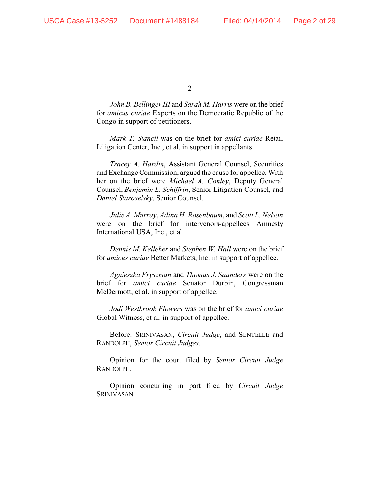*John B. Bellinger III* and *Sarah M. Harris* were on the brief for *amicus curiae* Experts on the Democratic Republic of the Congo in support of petitioners.

*Mark T. Stancil* was on the brief for *amici curiae* Retail Litigation Center, Inc., et al. in support in appellants.

*Tracey A. Hardin*, Assistant General Counsel, Securities and Exchange Commission, argued the cause for appellee. With her on the brief were *Michael A. Conley*, Deputy General Counsel, *Benjamin L. Schiffrin*, Senior Litigation Counsel, and *Daniel Staroselsky*, Senior Counsel.

*Julie A. Murray*, *Adina H. Rosenbaum*, and *Scott L. Nelson* were on the brief for intervenors-appellees Amnesty International USA, Inc., et al.

*Dennis M. Kelleher* and *Stephen W. Hall* were on the brief for *amicus curiae* Better Markets, Inc. in support of appellee.

*Agnieszka Fryszman* and *Thomas J. Saunders* were on the brief for *amici curiae* Senator Durbin, Congressman McDermott, et al. in support of appellee.

*Jodi Westbrook Flowers* was on the brief for *amici curiae* Global Witness, et al. in support of appellee.

Before: SRINIVASAN, *Circuit Judge*, and SENTELLE and RANDOLPH, *Senior Circuit Judges*.

Opinion for the court filed by *Senior Circuit Judge* RANDOLPH.

Opinion concurring in part filed by *Circuit Judge* SRINIVASAN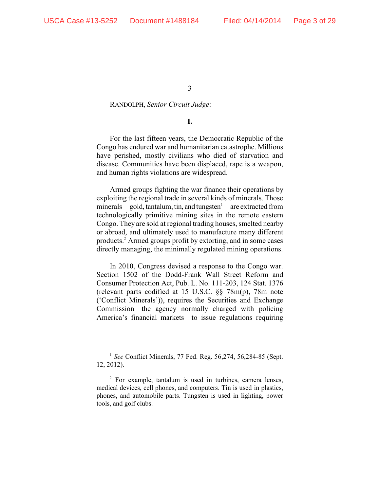#### RANDOLPH, *Senior Circuit Judge*:

### **I.**

For the last fifteen years, the Democratic Republic of the Congo has endured war and humanitarian catastrophe. Millions have perished, mostly civilians who died of starvation and disease. Communities have been displaced, rape is a weapon, and human rights violations are widespread.

Armed groups fighting the war finance their operations by exploiting the regional trade in several kinds of minerals. Those minerals—gold, tantalum, tin, and tungsten $\frac{1}{2}$  —are extracted from technologically primitive mining sites in the remote eastern Congo. They are sold at regional trading houses, smelted nearby or abroad, and ultimately used to manufacture many different products.<sup>2</sup> Armed groups profit by extorting, and in some cases directly managing, the minimally regulated mining operations.

In 2010, Congress devised a response to the Congo war. Section 1502 of the Dodd-Frank Wall Street Reform and Consumer Protection Act, Pub. L. No. 111-203, 124 Stat. 1376 (relevant parts codified at 15 U.S.C. §§ 78m(p), 78m note ('Conflict Minerals')), requires the Securities and Exchange Commission—the agency normally charged with policing America's financial markets—to issue regulations requiring

<sup>&</sup>lt;sup>1</sup> See Conflict Minerals, 77 Fed. Reg. 56,274, 56,284-85 (Sept. 12, 2012).

<sup>&</sup>lt;sup>2</sup> For example, tantalum is used in turbines, camera lenses, medical devices, cell phones, and computers. Tin is used in plastics, phones, and automobile parts. Tungsten is used in lighting, power tools, and golf clubs.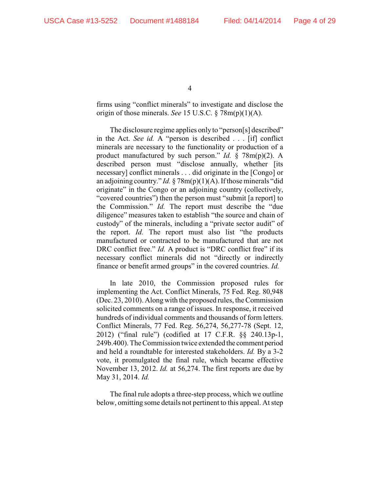firms using "conflict minerals" to investigate and disclose the origin of those minerals. *See* 15 U.S.C. § 78m(p)(1)(A).

The disclosure regime applies only to "person[s] described" in the Act. *See id.* A "person is described . . . [if] conflict minerals are necessary to the functionality or production of a product manufactured by such person." *Id.* § 78m(p)(2). A described person must "disclose annually, whether [its necessary] conflict minerals . . . did originate in the [Congo] or an adjoining country." *Id.* § 78m(p)(1)(A). If those minerals "did originate" in the Congo or an adjoining country (collectively, "covered countries") then the person must "submit [a report] to the Commission." *Id.* The report must describe the "due diligence" measures taken to establish "the source and chain of custody" of the minerals, including a "private sector audit" of the report. *Id.* The report must also list "the products manufactured or contracted to be manufactured that are not DRC conflict free." *Id.* A product is "DRC conflict free" if its necessary conflict minerals did not "directly or indirectly finance or benefit armed groups" in the covered countries. *Id.* 

In late 2010, the Commission proposed rules for implementing the Act. Conflict Minerals, 75 Fed. Reg. 80,948 (Dec. 23, 2010). Along with the proposed rules, the Commission solicited comments on a range of issues. In response, it received hundreds of individual comments and thousands of form letters. Conflict Minerals, 77 Fed. Reg. 56,274, 56,277-78 (Sept. 12, 2012) ("final rule") (codified at 17 C.F.R. §§ 240.13p-1, 249b.400). The Commission twice extended the comment period and held a roundtable for interested stakeholders. *Id.* By a 3-2 vote, it promulgated the final rule, which became effective November 13, 2012. *Id.* at 56,274. The first reports are due by May 31, 2014. *Id.*

The final rule adopts a three-step process, which we outline below, omitting some details not pertinent to this appeal. At step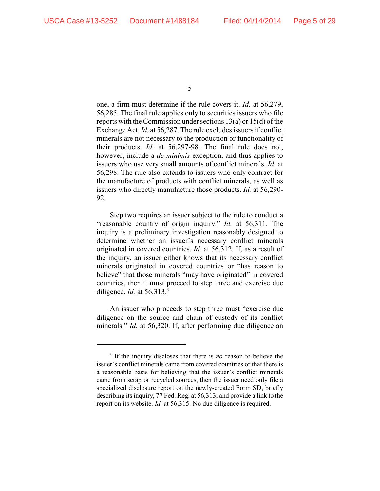one, a firm must determine if the rule covers it. *Id.* at 56,279, 56,285. The final rule applies only to securities issuers who file reports with the Commission under sections 13(a) or 15(d) of the Exchange Act. *Id.* at 56,287. The rule excludes issuers if conflict minerals are not necessary to the production or functionality of their products. *Id.* at 56,297-98. The final rule does not, however, include a *de minimis* exception, and thus applies to issuers who use very small amounts of conflict minerals. *Id.* at 56,298. The rule also extends to issuers who only contract for the manufacture of products with conflict minerals, as well as issuers who directly manufacture those products. *Id.* at 56,290- 92.

Step two requires an issuer subject to the rule to conduct a "reasonable country of origin inquiry." *Id.* at 56,311. The inquiry is a preliminary investigation reasonably designed to determine whether an issuer's necessary conflict minerals originated in covered countries. *Id.* at 56,312. If, as a result of the inquiry, an issuer either knows that its necessary conflict minerals originated in covered countries or "has reason to believe" that those minerals "may have originated" in covered countries, then it must proceed to step three and exercise due diligence. *Id.* at 56,313.<sup>3</sup>

An issuer who proceeds to step three must "exercise due diligence on the source and chain of custody of its conflict minerals." *Id.* at 56,320. If, after performing due diligence an

 $\frac{3}{3}$  If the inquiry discloses that there is *no* reason to believe the issuer's conflict minerals came from covered countries or that there is a reasonable basis for believing that the issuer's conflict minerals came from scrap or recycled sources, then the issuer need only file a specialized disclosure report on the newly-created Form SD, briefly describing its inquiry, 77 Fed. Reg. at 56,313, and provide a link to the report on its website. *Id.* at 56,315. No due diligence is required.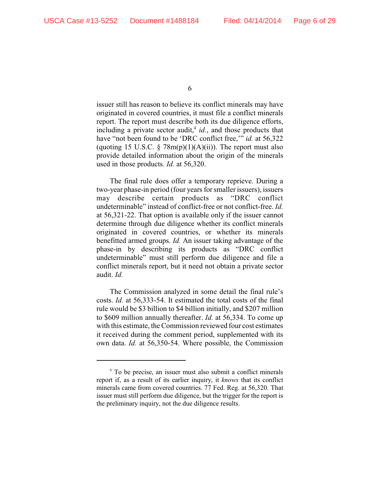issuer still has reason to believe its conflict minerals may have originated in covered countries, it must file a conflict minerals report. The report must describe both its due diligence efforts, including a private sector audit,  $id$ , and those products that have "not been found to be 'DRC conflict free,'" *id.* at 56,322 (quoting 15 U.S.C.  $\S$  78m(p)(1)(A)(ii)). The report must also provide detailed information about the origin of the minerals used in those products. *Id.* at 56,320.

The final rule does offer a temporary reprieve. During a two-year phase-in period (four years for smaller issuers), issuers may describe certain products as "DRC conflict undeterminable" instead of conflict-free or not conflict-free. *Id.* at 56,321-22. That option is available only if the issuer cannot determine through due diligence whether its conflict minerals originated in covered countries, or whether its minerals benefitted armed groups. *Id.* An issuer taking advantage of the phase-in by describing its products as "DRC conflict undeterminable" must still perform due diligence and file a conflict minerals report, but it need not obtain a private sector audit. *Id.*

The Commission analyzed in some detail the final rule's costs. *Id.* at 56,333-54. It estimated the total costs of the final rule would be \$3 billion to \$4 billion initially, and \$207 million to \$609 million annually thereafter. *Id.* at 56,334. To come up with this estimate, the Commission reviewed four cost estimates it received during the comment period, supplemented with its own data. *Id.* at 56,350-54. Where possible, the Commission

<sup>&</sup>lt;sup>4</sup> To be precise, an issuer must also submit a conflict minerals report if, as a result of its earlier inquiry, it *knows* that its conflict minerals came from covered countries. 77 Fed. Reg. at 56,320. That issuer must still perform due diligence, but the trigger for the report is the preliminary inquiry, not the due diligence results.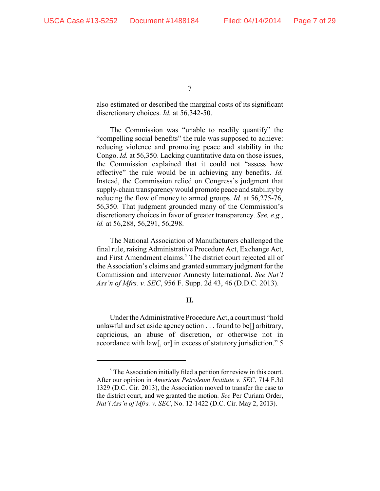also estimated or described the marginal costs of its significant discretionary choices. *Id.* at 56,342-50.

The Commission was "unable to readily quantify" the "compelling social benefits" the rule was supposed to achieve: reducing violence and promoting peace and stability in the Congo. *Id.* at 56,350. Lacking quantitative data on those issues, the Commission explained that it could not "assess how effective" the rule would be in achieving any benefits. *Id.* Instead, the Commission relied on Congress's judgment that supply-chain transparencywould promote peace and stability by reducing the flow of money to armed groups. *Id.* at 56,275-76, 56,350. That judgment grounded many of the Commission's discretionary choices in favor of greater transparency. *See, e.g.*, *id.* at 56,288, 56,291, 56,298.

The National Association of Manufacturers challenged the final rule, raising Administrative Procedure Act, Exchange Act, and First Amendment claims.<sup>5</sup> The district court rejected all of the Association's claims and granted summary judgment for the Commission and intervenor Amnesty International. *See Nat'l Ass'n of Mfrs. v. SEC*, 956 F. Supp. 2d 43, 46 (D.D.C. 2013).

# **II.**

Under the Administrative Procedure Act, a court must "hold unlawful and set aside agency action . . . found to be[] arbitrary, capricious, an abuse of discretion, or otherwise not in accordance with law[, or] in excess of statutory jurisdiction." 5

 $\delta$ . The Association initially filed a petition for review in this court. After our opinion in *American Petroleum Institute v. SEC*, 714 F.3d 1329 (D.C. Cir. 2013), the Association moved to transfer the case to the district court, and we granted the motion. *See* Per Curiam Order, *Nat'l Ass'n of Mfrs. v. SEC*, No. 12-1422 (D.C. Cir. May 2, 2013).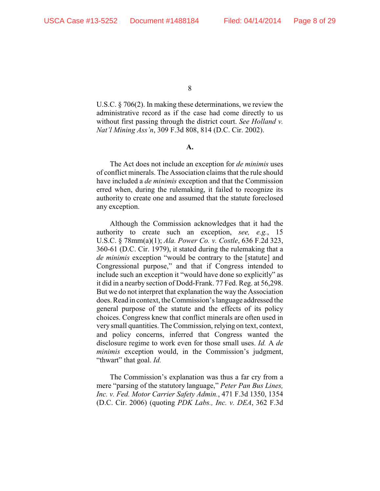U.S.C. § 706(2). In making these determinations, we review the administrative record as if the case had come directly to us without first passing through the district court. *See Holland v. Nat'l Mining Ass'n*, 309 F.3d 808, 814 (D.C. Cir. 2002).

**A.**

The Act does not include an exception for *de minimis* uses of conflict minerals. The Association claims that the rule should have included a *de minimis* exception and that the Commission erred when, during the rulemaking, it failed to recognize its authority to create one and assumed that the statute foreclosed any exception.

Although the Commission acknowledges that it had the authority to create such an exception, *see, e.g.*, 15 U.S.C. § 78mm(a)(1); *Ala. Power Co. v. Costle*, 636 F.2d 323, 360-61 (D.C. Cir. 1979), it stated during the rulemaking that a *de minimis* exception "would be contrary to the [statute] and Congressional purpose," and that if Congress intended to include such an exception it "would have done so explicitly" as it did in a nearby section of Dodd-Frank. 77 Fed. Reg. at 56,298. But we do not interpret that explanation the way the Association does. Read in context, the Commission's language addressed the general purpose of the statute and the effects of its policy choices. Congress knew that conflict minerals are often used in very small quantities. The Commission, relying on text, context, and policy concerns, inferred that Congress wanted the disclosure regime to work even for those small uses. *Id.* A *de minimis* exception would, in the Commission's judgment, "thwart" that goal. *Id.*

The Commission's explanation was thus a far cry from a mere "parsing of the statutory language," *Peter Pan Bus Lines, Inc. v. Fed. Motor Carrier Safety Admin.*, 471 F.3d 1350, 1354 (D.C. Cir. 2006) (quoting *PDK Labs., Inc. v. DEA*, 362 F.3d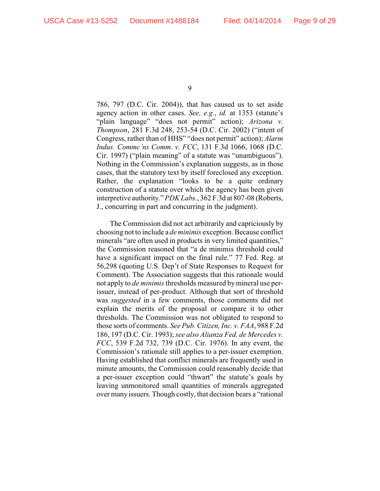786, 797 (D.C. Cir. 2004)), that has caused us to set aside agency action in other cases. *See, e.g.*, *id.* at 1353 (statute's "plain language" "does not permit" action); *Arizona v. Thompson*, 281 F.3d 248, 253-54 (D.C. Cir. 2002) ("intent of Congress, rather than of HHS" "does not permit" action); *Alarm Indus. Commc'ns Comm. v. FCC*, 131 F.3d 1066, 1068 (D.C. Cir. 1997) ("plain meaning" of a statute was "unambiguous"). Nothing in the Commission's explanation suggests, as in those cases, that the statutory text by itself foreclosed any exception. Rather, the explanation "looks to be a quite ordinary construction of a statute over which the agency has been given interpretive authority." *PDK Labs.*, 362 F.3d at 807-08 (Roberts, J., concurring in part and concurring in the judgment).

The Commission did not act arbitrarily and capriciously by choosing not to include a *de minimis* exception. Because conflict minerals "are often used in products in very limited quantities," the Commission reasoned that "a de minimis threshold could have a significant impact on the final rule." 77 Fed. Reg. at 56,298 (quoting U.S. Dep't of State Responses to Request for Comment). The Association suggests that this rationale would not apply to *de minimis* thresholds measured bymineral use perissuer, instead of per-product. Although that sort of threshold was *suggested* in a few comments, those comments did not explain the merits of the proposal or compare it to other thresholds. The Commission was not obligated to respond to those sorts of comments. *See Pub. Citizen, Inc. v. FAA*, 988 F.2d 186, 197 (D.C. Cir. 1993); *see also Alianza Fed. de Mercedes v. FCC*, 539 F.2d 732, 739 (D.C. Cir. 1976). In any event, the Commission's rationale still applies to a per-issuer exemption. Having established that conflict minerals are frequently used in minute amounts, the Commission could reasonably decide that a per-issuer exception could "thwart" the statute's goals by leaving unmonitored small quantities of minerals aggregated over many issuers. Though costly, that decision bears a "rational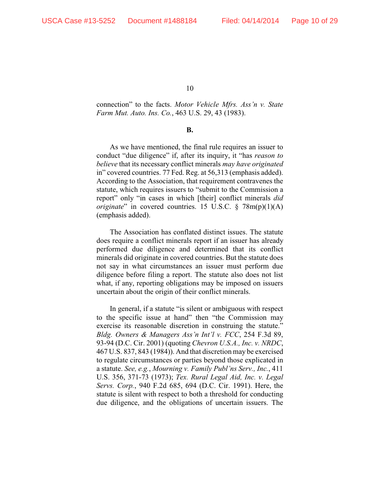connection" to the facts. *Motor Vehicle Mfrs. Ass'n v. State Farm Mut. Auto. Ins. Co.*, 463 U.S. 29, 43 (1983).

#### **B.**

As we have mentioned, the final rule requires an issuer to conduct "due diligence" if, after its inquiry, it "has *reason to believe* that its necessary conflict minerals *may have originated* in" covered countries. 77 Fed. Reg. at 56,313 (emphasis added). According to the Association, that requirement contravenes the statute, which requires issuers to "submit to the Commission a report" only "in cases in which [their] conflict minerals *did originate*" in covered countries. 15 U.S.C. § 78m(p)(1)(A) (emphasis added).

The Association has conflated distinct issues. The statute does require a conflict minerals report if an issuer has already performed due diligence and determined that its conflict minerals did originate in covered countries. But the statute does not say in what circumstances an issuer must perform due diligence before filing a report. The statute also does not list what, if any, reporting obligations may be imposed on issuers uncertain about the origin of their conflict minerals.

In general, if a statute "is silent or ambiguous with respect to the specific issue at hand" then "the Commission may exercise its reasonable discretion in construing the statute." *Bldg. Owners & Managers Ass'n Int'l v. FCC*, 254 F.3d 89, 93-94 (D.C. Cir. 2001) (quoting *Chevron U.S.A., Inc. v. NRDC*, 467 U.S. 837, 843 (1984)). And that discretion may be exercised to regulate circumstances or parties beyond those explicated in a statute. *See, e.g.*, *Mourning v. Family Publ'ns Serv., Inc.*, 411 U.S. 356, 371-73 (1973); *Tex. Rural Legal Aid, Inc. v. Legal Servs. Corp.*, 940 F.2d 685, 694 (D.C. Cir. 1991). Here, the statute is silent with respect to both a threshold for conducting due diligence, and the obligations of uncertain issuers. The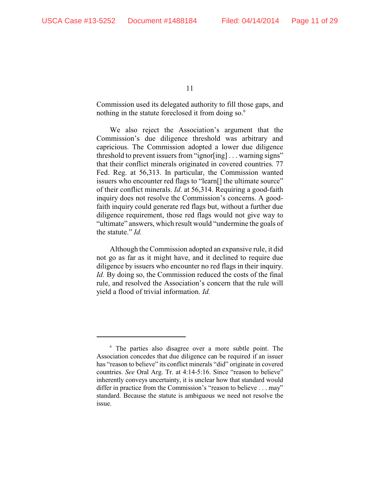Commission used its delegated authority to fill those gaps, and nothing in the statute foreclosed it from doing so.<sup>6</sup>

We also reject the Association's argument that the Commission's due diligence threshold was arbitrary and capricious. The Commission adopted a lower due diligence threshold to prevent issuers from "ignor[ing] . . . warning signs" that their conflict minerals originated in covered countries. 77 Fed. Reg. at 56,313. In particular, the Commission wanted issuers who encounter red flags to "learn[] the ultimate source" of their conflict minerals. *Id*. at 56,314. Requiring a good-faith inquiry does not resolve the Commission's concerns. A goodfaith inquiry could generate red flags but, without a further due diligence requirement, those red flags would not give way to "ultimate" answers, which result would "undermine the goals of the statute." *Id.*

Although the Commission adopted an expansive rule, it did not go as far as it might have, and it declined to require due diligence by issuers who encounter no red flags in their inquiry. *Id.* By doing so, the Commission reduced the costs of the final rule, and resolved the Association's concern that the rule will yield a flood of trivial information. *Id.*

 $6$  The parties also disagree over a more subtle point. The Association concedes that due diligence can be required if an issuer has "reason to believe" its conflict minerals "did" originate in covered countries. *See* Oral Arg. Tr. at 4:14-5:16. Since "reason to believe" inherently conveys uncertainty, it is unclear how that standard would differ in practice from the Commission's "reason to believe . . . may" standard. Because the statute is ambiguous we need not resolve the issue.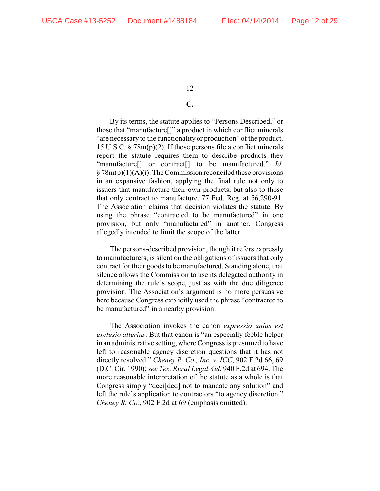## **C.**

By its terms, the statute applies to "Persons Described," or those that "manufacture[]" a product in which conflict minerals "are necessary to the functionality or production" of the product. 15 U.S.C. § 78m(p)(2). If those persons file a conflict minerals report the statute requires them to describe products they "manufacture[] or contract[] to be manufactured." *Id.*  $\S 78m(p)(1)(A)(i)$ . The Commission reconciled these provisions in an expansive fashion, applying the final rule not only to issuers that manufacture their own products, but also to those that only contract to manufacture. 77 Fed. Reg. at 56,290-91. The Association claims that decision violates the statute. By using the phrase "contracted to be manufactured" in one provision, but only "manufactured" in another, Congress allegedly intended to limit the scope of the latter.

The persons-described provision, though it refers expressly to manufacturers, is silent on the obligations of issuers that only contract for their goods to be manufactured. Standing alone, that silence allows the Commission to use its delegated authority in determining the rule's scope, just as with the due diligence provision. The Association's argument is no more persuasive here because Congress explicitly used the phrase "contracted to be manufactured" in a nearby provision.

The Association invokes the canon *expressio unius est exclusio alterius*. But that canon is "an especially feeble helper in an administrative setting, where Congress is presumed to have left to reasonable agency discretion questions that it has not directly resolved." *Cheney R. Co., Inc. v. ICC*, 902 F.2d 66, 69 (D.C. Cir. 1990); *see Tex. Rural Legal Aid*, 940 F.2d at 694. The more reasonable interpretation of the statute as a whole is that Congress simply "deci[ded] not to mandate any solution" and left the rule's application to contractors "to agency discretion." *Cheney R. Co.*, 902 F.2d at 69 (emphasis omitted).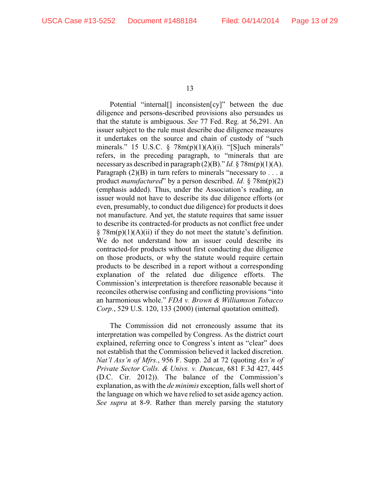Potential "internal[] inconsisten[cy]" between the due diligence and persons-described provisions also persuades us that the statute is ambiguous. *See* 77 Fed. Reg. at 56,291. An issuer subject to the rule must describe due diligence measures it undertakes on the source and chain of custody of "such minerals." 15 U.S.C.  $\S$  78m(p)(1)(A)(i). "[S]uch minerals" refers, in the preceding paragraph, to "minerals that are necessary as described in paragraph (2)(B)." *Id.* § 78m(p)(1)(A). Paragraph  $(2)(B)$  in turn refers to minerals "necessary to . . . a product *manufactured*" by a person described. *Id.* § 78m(p)(2) (emphasis added). Thus, under the Association's reading, an issuer would not have to describe its due diligence efforts (or even, presumably, to conduct due diligence) for products it does not manufacture. And yet, the statute requires that same issuer to describe its contracted-for products as not conflict free under  $\S 78m(p)(1)(A)(ii)$  if they do not meet the statute's definition. We do not understand how an issuer could describe its contracted-for products without first conducting due diligence on those products, or why the statute would require certain products to be described in a report without a corresponding explanation of the related due diligence efforts. The Commission's interpretation is therefore reasonable because it reconciles otherwise confusing and conflicting provisions "into an harmonious whole." *FDA v. Brown & Williamson Tobacco Corp.*, 529 U.S. 120, 133 (2000) (internal quotation omitted).

The Commission did not erroneously assume that its interpretation was compelled by Congress. As the district court explained, referring once to Congress's intent as "clear" does not establish that the Commission believed it lacked discretion. *Nat'l Ass'n of Mfrs.*, 956 F. Supp. 2d at 72 (quoting *Ass'n of Private Sector Colls. & Univs. v. Duncan*, 681 F.3d 427, 445 (D.C. Cir. 2012)). The balance of the Commission's explanation, as with the *de minimis* exception, falls well short of the language on which we have relied to set aside agency action. *See supra* at 8-9. Rather than merely parsing the statutory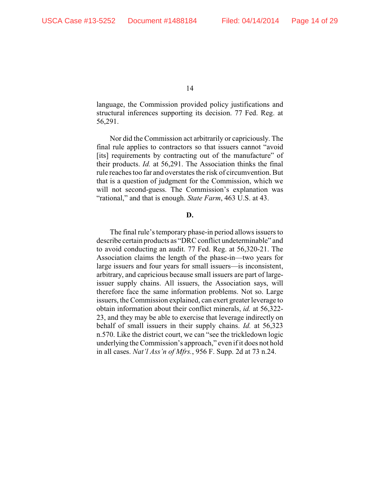language, the Commission provided policy justifications and structural inferences supporting its decision. 77 Fed. Reg. at 56,291.

Nor did the Commission act arbitrarily or capriciously. The final rule applies to contractors so that issuers cannot "avoid [its] requirements by contracting out of the manufacture" of their products. *Id.* at 56,291. The Association thinks the final rule reaches too far and overstates the risk of circumvention. But that is a question of judgment for the Commission, which we will not second-guess. The Commission's explanation was "rational," and that is enough. *State Farm*, 463 U.S. at 43.

#### **D.**

The final rule's temporary phase-in period allows issuers to describe certain products as "DRC conflict undeterminable" and to avoid conducting an audit. 77 Fed. Reg. at 56,320-21. The Association claims the length of the phase-in—two years for large issuers and four years for small issuers—is inconsistent, arbitrary, and capricious because small issuers are part of largeissuer supply chains. All issuers, the Association says, will therefore face the same information problems. Not so. Large issuers, the Commission explained, can exert greater leverage to obtain information about their conflict minerals, *id.* at 56,322- 23, and they may be able to exercise that leverage indirectly on behalf of small issuers in their supply chains. *Id.* at 56,323 n.570. Like the district court, we can "see the trickledown logic underlying the Commission's approach," even if it does not hold in all cases. *Nat'l Ass'n of Mfrs.*, 956 F. Supp. 2d at 73 n.24.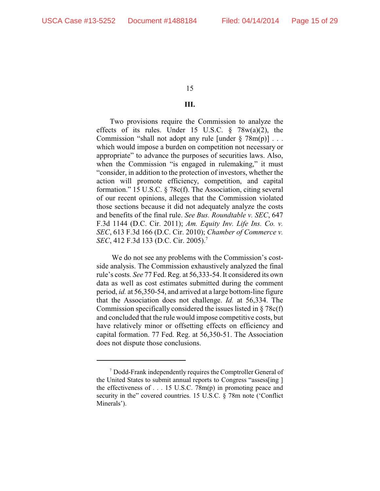# **III.**

Two provisions require the Commission to analyze the effects of its rules. Under 15 U.S.C.  $\frac{8}{9}$  78w(a)(2), the Commission "shall not adopt any rule [under  $\S 78m(p)$ ]... which would impose a burden on competition not necessary or appropriate" to advance the purposes of securities laws. Also, when the Commission "is engaged in rulemaking," it must "consider, in addition to the protection of investors, whether the action will promote efficiency, competition, and capital formation." 15 U.S.C. § 78c(f). The Association, citing several of our recent opinions, alleges that the Commission violated those sections because it did not adequately analyze the costs and benefits of the final rule. *See Bus. Roundtable v. SEC*, 647 F.3d 1144 (D.C. Cir. 2011); *Am. Equity Inv. Life Ins. Co. v. SEC*, 613 F.3d 166 (D.C. Cir. 2010); *Chamber of Commerce v. SEC*, 412 F.3d 133 (D.C. Cir. 2005).<sup>7</sup>

 We do not see any problems with the Commission's costside analysis. The Commission exhaustively analyzed the final rule's costs. *See* 77 Fed. Reg. at 56,333-54. It considered its own data as well as cost estimates submitted during the comment period, *id.* at 56,350-54, and arrived at a large bottom-line figure that the Association does not challenge. *Id.* at 56,334. The Commission specifically considered the issues listed in § 78c(f) and concluded that the rule would impose competitive costs, but have relatively minor or offsetting effects on efficiency and capital formation. 77 Fed. Reg. at 56,350-51. The Association does not dispute those conclusions.

Dodd-Frank independently requires the Comptroller General of <sup>7</sup> the United States to submit annual reports to Congress "assess[ing ] the effectiveness of . . . 15 U.S.C. 78m(p) in promoting peace and security in the" covered countries. 15 U.S.C. § 78m note ('Conflict Minerals').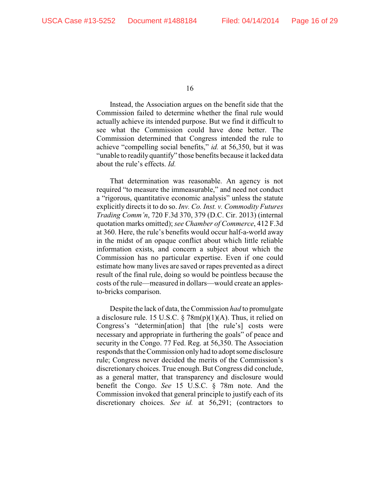Instead, the Association argues on the benefit side that the Commission failed to determine whether the final rule would actually achieve its intended purpose. But we find it difficult to see what the Commission could have done better. The Commission determined that Congress intended the rule to achieve "compelling social benefits," *id.* at 56,350, but it was "unable to readily quantify" those benefits because it lacked data about the rule's effects. *Id.*

That determination was reasonable. An agency is not required "to measure the immeasurable," and need not conduct a "rigorous, quantitative economic analysis" unless the statute explicitly directs it to do so. *Inv. Co. Inst. v. Commodity Futures Trading Comm'n*, 720 F.3d 370, 379 (D.C. Cir. 2013) (internal quotation marks omitted); *see Chamber of Commerce*, 412 F.3d at 360. Here, the rule's benefits would occur half-a-world away in the midst of an opaque conflict about which little reliable information exists, and concern a subject about which the Commission has no particular expertise. Even if one could estimate how many lives are saved or rapes prevented as a direct result of the final rule, doing so would be pointless because the costs of the rule—measured in dollars—would create an applesto-bricks comparison.

Despite the lack of data, the Commission *had* to promulgate a disclosure rule. 15 U.S.C. § 78m(p)(1)(A). Thus, it relied on Congress's "determin[ation] that [the rule's] costs were necessary and appropriate in furthering the goals" of peace and security in the Congo. 77 Fed. Reg. at 56,350. The Association responds that the Commission only had to adopt some disclosure rule; Congress never decided the merits of the Commission's discretionary choices. True enough. But Congress did conclude, as a general matter, that transparency and disclosure would benefit the Congo. *See* 15 U.S.C. § 78m note. And the Commission invoked that general principle to justify each of its discretionary choices. *See id.* at 56,291; (contractors to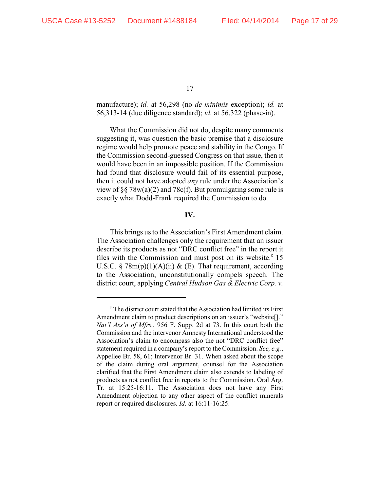manufacture); *id.* at 56,298 (no *de minimis* exception); *id.* at 56,313-14 (due diligence standard); *id.* at 56,322 (phase-in).

What the Commission did not do, despite many comments suggesting it, was question the basic premise that a disclosure regime would help promote peace and stability in the Congo. If the Commission second-guessed Congress on that issue, then it would have been in an impossible position. If the Commission had found that disclosure would fail of its essential purpose, then it could not have adopted *any* rule under the Association's view of §§ 78 $w(a)(2)$  and 78 $c(f)$ . But promulgating some rule is exactly what Dodd-Frank required the Commission to do.

## **IV.**

This brings us to the Association's First Amendment claim. The Association challenges only the requirement that an issuer describe its products as not "DRC conflict free" in the report it files with the Commission and must post on its website. $8\,15$ U.S.C. §  $78m(p)(1)(A)(ii)$  & (E). That requirement, according to the Association, unconstitutionally compels speech. The district court, applying *Central Hudson Gas & Electric Corp. v.*

<sup>&</sup>lt;sup>8</sup> The district court stated that the Association had limited its First Amendment claim to product descriptions on an issuer's "website[]." *Nat'l Ass'n of Mfrs.*, 956 F. Supp. 2d at 73. In this court both the Commission and the intervenor Amnesty International understood the Association's claim to encompass also the not "DRC conflict free" statement required in a company's report to the Commission. *See, e.g.*, Appellee Br. 58, 61; Intervenor Br. 31. When asked about the scope of the claim during oral argument, counsel for the Association clarified that the First Amendment claim also extends to labeling of products as not conflict free in reports to the Commission. Oral Arg. Tr. at 15:25-16:11. The Association does not have any First Amendment objection to any other aspect of the conflict minerals report or required disclosures. *Id.* at 16:11-16:25.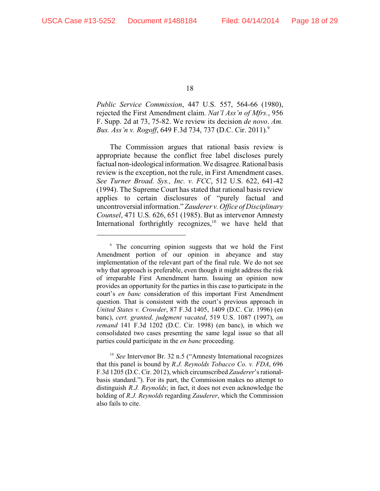*Public Service Commission*, 447 U.S. 557, 564-66 (1980), rejected the First Amendment claim. *Nat'l Ass'n of Mfrs.*, 956 F. Supp. 2d at 73, 75-82. We review its decision *de novo*. *Am. Bus. Ass'n v. Rogoff*, 649 F.3d 734, 737 (D.C. Cir. 2011)*.* 9

The Commission argues that rational basis review is appropriate because the conflict free label discloses purely factual non-ideological information. We disagree. Rational basis review is the exception, not the rule, in First Amendment cases. *See Turner Broad. Sys., Inc. v. FCC*, 512 U.S. 622, 641-42 (1994). The Supreme Court has stated that rational basis review applies to certain disclosures of "purely factual and uncontroversial information." *Zauderer v. Office of Disciplinary Counsel*, 471 U.S. 626, 651 (1985). But as intervenor Amnesty International forthrightly recognizes,  $\frac{10}{10}$  we have held that

<sup>10</sup> See Intervenor Br. 32 n.5 ("Amnesty International recognizes" that this panel is bound by *R.J. Reynolds Tobacco Co. v. FDA*, 696 F.3d 1205 (D.C. Cir. 2012), which circumscribed *Zauderer*'s rationalbasis standard."). For its part, the Commission makes no attempt to distinguish *R.J. Reynolds*; in fact, it does not even acknowledge the holding of *R.J. Reynolds* regarding *Zauderer*, which the Commission also fails to cite.

<sup>&</sup>lt;sup>9</sup> The concurring opinion suggests that we hold the First Amendment portion of our opinion in abeyance and stay implementation of the relevant part of the final rule. We do not see why that approach is preferable, even though it might address the risk of irreparable First Amendment harm. Issuing an opinion now provides an opportunity for the parties in this case to participate in the court's *en banc* consideration of this important First Amendment question. That is consistent with the court's previous approach in *United States v. Crowder*, 87 F.3d 1405, 1409 (D.C. Cir. 1996) (en banc), *cert. granted, judgment vacated*, 519 U.S. 1087 (1997), *on remand* 141 F.3d 1202 (D.C. Cir. 1998) (en banc), in which we consolidated two cases presenting the same legal issue so that all parties could participate in the *en banc* proceeding.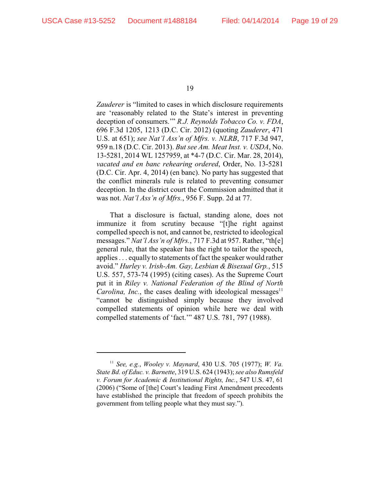*Zauderer* is "limited to cases in which disclosure requirements are 'reasonably related to the State's interest in preventing deception of consumers.'" *R.J. Reynolds Tobacco Co. v. FDA*, 696 F.3d 1205, 1213 (D.C. Cir. 2012) (quoting *Zauderer*, 471 U.S. at 651); *see Nat'l Ass'n of Mfrs. v. NLRB*, 717 F.3d 947, 959 n.18 (D.C. Cir. 2013). *But see Am. Meat Inst. v. USDA*, No. 13-5281, 2014 WL 1257959, at \*4-7 (D.C. Cir. Mar. 28, 2014), *vacated and en banc rehearing ordered*, Order, No. 13-5281 (D.C. Cir. Apr. 4, 2014) (en banc). No party has suggested that the conflict minerals rule is related to preventing consumer deception. In the district court the Commission admitted that it was not. *Nat'l Ass'n of Mfrs.*, 956 F. Supp. 2d at 77.

That a disclosure is factual, standing alone, does not immunize it from scrutiny because "[t]he right against compelled speech is not, and cannot be, restricted to ideological messages." *Nat'l Ass'n of Mfrs.*, 717 F.3d at 957. Rather, "th[e] general rule, that the speaker has the right to tailor the speech, applies . . . equally to statements of fact the speaker would rather avoid." *Hurley v. Irish-Am. Gay, Lesbian & Bisexual Grp.*, 515 U.S. 557, 573-74 (1995) (citing cases). As the Supreme Court put it in *Riley v. National Federation of the Blind of North Carolina, Inc.*, the cases dealing with ideological messages $11$ "cannot be distinguished simply because they involved compelled statements of opinion while here we deal with compelled statements of 'fact.'" 487 U.S. 781, 797 (1988).

*See, e.g.*, *Wooley v. Maynard*, 430 U.S. 705 (1977); *W. Va.* <sup>11</sup> *State Bd. of Educ. v. Barnette*, 319 U.S. 624 (1943); *see also Rumsfeld v. Forum for Academic & Institutional Rights, Inc.*, 547 U.S. 47, 61 (2006) ("Some of [the] Court's leading First Amendment precedents have established the principle that freedom of speech prohibits the government from telling people what they must say.").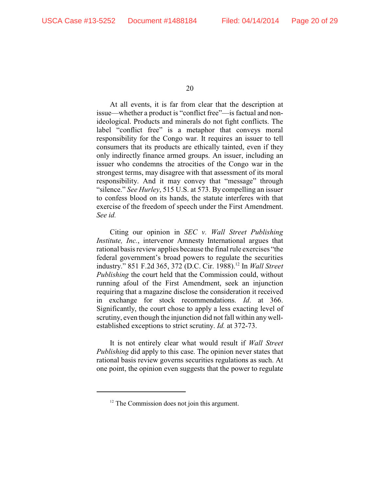At all events, it is far from clear that the description at issue—whether a product is "conflict free"—is factual and nonideological. Products and minerals do not fight conflicts. The label "conflict free" is a metaphor that conveys moral responsibility for the Congo war. It requires an issuer to tell consumers that its products are ethically tainted, even if they only indirectly finance armed groups. An issuer, including an issuer who condemns the atrocities of the Congo war in the strongest terms, may disagree with that assessment of its moral responsibility. And it may convey that "message" through "silence." *See Hurley*, 515 U.S. at 573. By compelling an issuer to confess blood on its hands, the statute interferes with that exercise of the freedom of speech under the First Amendment. *See id.* 

Citing our opinion in *SEC v. Wall Street Publishing Institute, Inc.*, intervenor Amnesty International argues that rational basis review applies because the final rule exercises "the federal government's broad powers to regulate the securities industry." 851 F.2d 365, 372 (D.C. Cir. 1988).<sup>12</sup> In *Wall Street Publishing* the court held that the Commission could, without running afoul of the First Amendment, seek an injunction requiring that a magazine disclose the consideration it received in exchange for stock recommendations. *Id*. at 366. Significantly, the court chose to apply a less exacting level of scrutiny, even though the injunction did not fall within any wellestablished exceptions to strict scrutiny. *Id.* at 372-73.

It is not entirely clear what would result if *Wall Street Publishing* did apply to this case. The opinion never states that rational basis review governs securities regulations as such. At one point, the opinion even suggests that the power to regulate

 $12$  The Commission does not join this argument.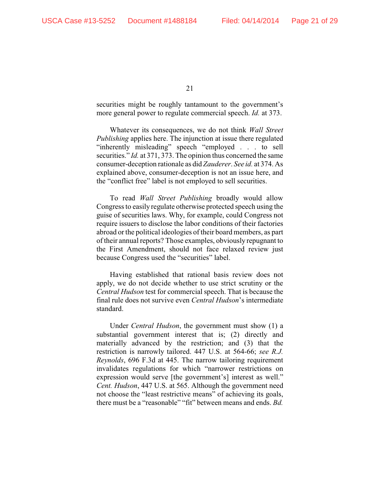securities might be roughly tantamount to the government's more general power to regulate commercial speech. *Id.* at 373.

Whatever its consequences, we do not think *Wall Street Publishing* applies here. The injunction at issue there regulated "inherently misleading" speech "employed . . . to sell securities." *Id.* at 371, 373. The opinion thus concerned the same consumer-deception rationale as did *Zauderer*. *See id.* at 374. As explained above, consumer-deception is not an issue here, and the "conflict free" label is not employed to sell securities.

To read *Wall Street Publishing* broadly would allow Congress to easily regulate otherwise protected speech using the guise of securities laws. Why, for example, could Congress not require issuers to disclose the labor conditions of their factories abroad or the political ideologies of their board members, as part of their annual reports? Those examples, obviously repugnant to the First Amendment, should not face relaxed review just because Congress used the "securities" label.

Having established that rational basis review does not apply, we do not decide whether to use strict scrutiny or the *Central Hudson* test for commercial speech. That is because the final rule does not survive even *Central Hudson*'s intermediate standard.

Under *Central Hudson*, the government must show (1) a substantial government interest that is; (2) directly and materially advanced by the restriction; and (3) that the restriction is narrowly tailored. 447 U.S. at 564-66; *see R.J. Reynolds*, 696 F.3d at 445. The narrow tailoring requirement invalidates regulations for which "narrower restrictions on expression would serve [the government's] interest as well." *Cent. Hudson*, 447 U.S. at 565. Although the government need not choose the "least restrictive means" of achieving its goals, there must be a "reasonable" "fit" between means and ends. *Bd.*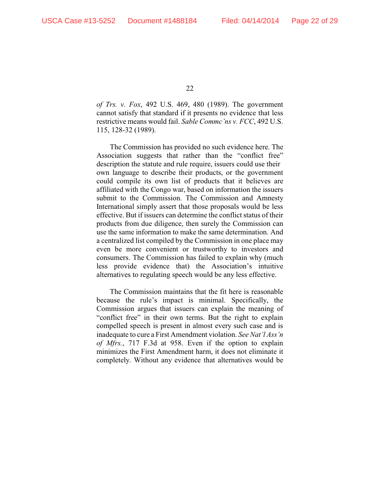*of Trs. v. Fox*, 492 U.S. 469, 480 (1989). The government cannot satisfy that standard if it presents no evidence that less restrictive means would fail. *Sable Commc'ns v. FCC*, 492 U.S. 115, 128-32 (1989).

The Commission has provided no such evidence here. The Association suggests that rather than the "conflict free" description the statute and rule require, issuers could use their own language to describe their products, or the government could compile its own list of products that it believes are affiliated with the Congo war, based on information the issuers submit to the Commission. The Commission and Amnesty International simply assert that those proposals would be less effective. But if issuers can determine the conflict status of their products from due diligence, then surely the Commission can use the same information to make the same determination. And a centralized list compiled by the Commission in one place may even be more convenient or trustworthy to investors and consumers. The Commission has failed to explain why (much less provide evidence that) the Association's intuitive alternatives to regulating speech would be any less effective.

The Commission maintains that the fit here is reasonable because the rule's impact is minimal. Specifically, the Commission argues that issuers can explain the meaning of "conflict free" in their own terms. But the right to explain compelled speech is present in almost every such case and is inadequate to cure a First Amendment violation. *See Nat'l Ass'n of Mfrs.*, 717 F.3d at 958. Even if the option to explain minimizes the First Amendment harm, it does not eliminate it completely. Without any evidence that alternatives would be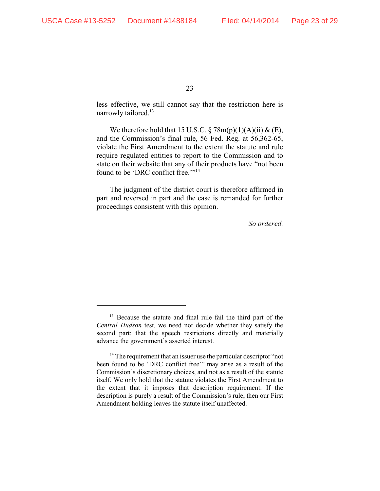less effective, we still cannot say that the restriction here is narrowly tailored.<sup>13</sup>

We therefore hold that 15 U.S.C.  $\S 78m(p)(1)(A)(ii) \& (E)$ , and the Commission's final rule, 56 Fed. Reg. at 56,362-65, violate the First Amendment to the extent the statute and rule require regulated entities to report to the Commission and to state on their website that any of their products have "not been found to be 'DRC conflict free."<sup>14</sup>

The judgment of the district court is therefore affirmed in part and reversed in part and the case is remanded for further proceedings consistent with this opinion.

*So ordered.*

 $13$  Because the statute and final rule fail the third part of the *Central Hudson* test, we need not decide whether they satisfy the second part: that the speech restrictions directly and materially advance the government's asserted interest.

 $14$ <sup>14</sup> The requirement that an issuer use the particular descriptor "not been found to be 'DRC conflict free'" may arise as a result of the Commission's discretionary choices, and not as a result of the statute itself. We only hold that the statute violates the First Amendment to the extent that it imposes that description requirement. If the description is purely a result of the Commission's rule, then our First Amendment holding leaves the statute itself unaffected.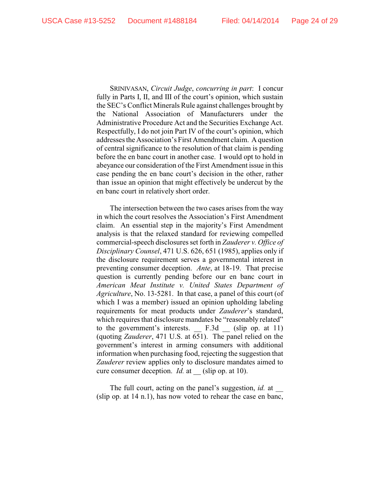SRINIVASAN, *Circuit Judge*, *concurring in part*: I concur fully in Parts I, II, and III of the court's opinion, which sustain the SEC's Conflict Minerals Rule against challenges brought by the National Association of Manufacturers under the Administrative Procedure Act and the Securities Exchange Act. Respectfully, I do not join Part IV of the court's opinion, which addresses the Association's First Amendment claim. A question of central significance to the resolution of that claim is pending before the en banc court in another case. I would opt to hold in abeyance our consideration of the First Amendment issue in this case pending the en banc court's decision in the other, rather than issue an opinion that might effectively be undercut by the en banc court in relatively short order.

The intersection between the two cases arises from the way in which the court resolves the Association's First Amendment claim. An essential step in the majority's First Amendment analysis is that the relaxed standard for reviewing compelled commercial-speech disclosures set forth in *Zauderer v. Office of Disciplinary Counsel*, 471 U.S. 626, 651 (1985), applies only if the disclosure requirement serves a governmental interest in preventing consumer deception. *Ante*, at 18-19. That precise question is currently pending before our en banc court in *American Meat Institute v. United States Department of Agriculture*, No. 13-5281. In that case, a panel of this court (of which I was a member) issued an opinion upholding labeling requirements for meat products under *Zauderer*'s standard, which requires that disclosure mandates be "reasonably related" to the government's interests. F.3d (slip op. at 11) (quoting *Zauderer*, 471 U.S. at 651). The panel relied on the government's interest in arming consumers with additional information when purchasing food, rejecting the suggestion that *Zauderer* review applies only to disclosure mandates aimed to cure consumer deception. *Id.* at (slip op. at 10).

The full court, acting on the panel's suggestion, *id.* at (slip op. at 14 n.1), has now voted to rehear the case en banc,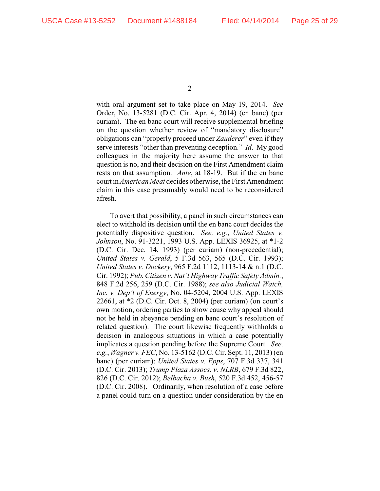with oral argument set to take place on May 19, 2014. *See* Order, No. 13-5281 (D.C. Cir. Apr. 4, 2014) (en banc) (per curiam). The en banc court will receive supplemental briefing on the question whether review of "mandatory disclosure" obligations can "properly proceed under *Zauderer*" even if they serve interests "other than preventing deception." *Id*. My good colleagues in the majority here assume the answer to that question is no, and their decision on the First Amendment claim rests on that assumption. *Ante*, at 18-19. But if the en banc court in *American Meat* decides otherwise, the First Amendment claim in this case presumably would need to be reconsidered afresh.

To avert that possibility, a panel in such circumstances can elect to withhold its decision until the en banc court decides the potentially dispositive question. *See, e.g.*, *United States v. Johnson*, No. 91-3221, 1993 U.S. App. LEXIS 36925, at \*1-2 (D.C. Cir. Dec. 14, 1993) (per curiam) (non-precedential); *United States v. Gerald*, 5 F.3d 563, 565 (D.C. Cir. 1993); *United States v. Dockery*, 965 F.2d 1112, 1113-14 & n.1 (D.C. Cir. 1992); *Pub. Citizen v. Nat'l Highway Traffic Safety Admin.*, 848 F.2d 256, 259 (D.C. Cir. 1988); *see also Judicial Watch, Inc. v. Dep't of Energy*, No. 04-5204, 2004 U.S. App. LEXIS 22661, at \*2 (D.C. Cir. Oct. 8, 2004) (per curiam) (on court's own motion, ordering parties to show cause why appeal should not be held in abeyance pending en banc court's resolution of related question). The court likewise frequently withholds a decision in analogous situations in which a case potentially implicates a question pending before the Supreme Court. *See, e.g.*, *Wagner v. FEC*, No. 13-5162 (D.C. Cir. Sept. 11, 2013) (en banc) (per curiam); *United States v. Epps*, 707 F.3d 337, 341 (D.C. Cir. 2013); *Trump Plaza Assocs. v. NLRB*, 679 F.3d 822, 826 (D.C. Cir. 2012); *Belbacha v. Bush*, 520 F.3d 452, 456-57 (D.C. Cir. 2008). Ordinarily, when resolution of a case before a panel could turn on a question under consideration by the en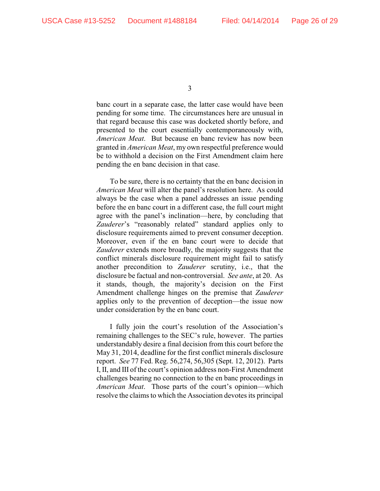banc court in a separate case, the latter case would have been pending for some time. The circumstances here are unusual in that regard because this case was docketed shortly before, and presented to the court essentially contemporaneously with, *American Meat*. But because en banc review has now been granted in *American Meat*, my own respectful preference would be to withhold a decision on the First Amendment claim here pending the en banc decision in that case.

To be sure, there is no certainty that the en banc decision in *American Meat* will alter the panel's resolution here. As could always be the case when a panel addresses an issue pending before the en banc court in a different case, the full court might agree with the panel's inclination—here, by concluding that *Zauderer*'s "reasonably related" standard applies only to disclosure requirements aimed to prevent consumer deception. Moreover, even if the en banc court were to decide that *Zauderer* extends more broadly, the majority suggests that the conflict minerals disclosure requirement might fail to satisfy another precondition to *Zauderer* scrutiny, i.e., that the disclosure be factual and non-controversial. *See ante*, at 20. As it stands, though, the majority's decision on the First Amendment challenge hinges on the premise that *Zauderer* applies only to the prevention of deception—the issue now under consideration by the en banc court.

I fully join the court's resolution of the Association's remaining challenges to the SEC's rule, however. The parties understandably desire a final decision from this court before the May 31, 2014, deadline for the first conflict minerals disclosure report. *See* 77 Fed. Reg. 56,274, 56,305 (Sept. 12, 2012). Parts I, II, and III of the court's opinion address non-First Amendment challenges bearing no connection to the en banc proceedings in *American Meat*. Those parts of the court's opinion—which resolve the claims to which the Association devotes its principal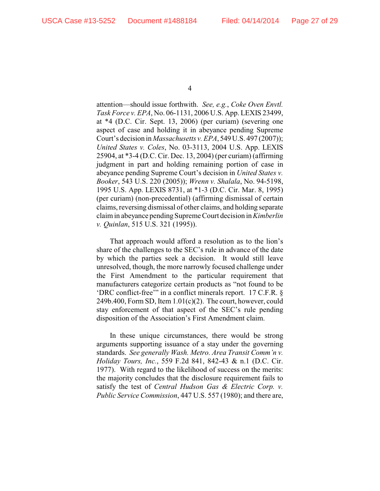attention—should issue forthwith. *See, e.g.*, *Coke Oven Envtl. Task Force v. EPA*, No. 06-1131, 2006 U.S. App. LEXIS 23499, at \*4 (D.C. Cir. Sept. 13, 2006) (per curiam) (severing one aspect of case and holding it in abeyance pending Supreme Court's decision in *Massachusetts v. EPA*, 549 U.S. 497 (2007)); *United States v. Coles*, No. 03-3113, 2004 U.S. App. LEXIS 25904, at \*3-4 (D.C. Cir. Dec. 13, 2004) (per curiam) (affirming judgment in part and holding remaining portion of case in abeyance pending Supreme Court's decision in *United States v. Booker*, 543 U.S. 220 (2005)); *Wrenn v. Shalala*, No. 94-5198, 1995 U.S. App. LEXIS 8731, at \*1-3 (D.C. Cir. Mar. 8, 1995) (per curiam) (non-precedential) (affirming dismissal of certain claims, reversing dismissal of other claims, and holding separate claim in abeyance pendingSupreme Court decision in *Kimberlin v. Quinlan*, 515 U.S. 321 (1995)).

That approach would afford a resolution as to the lion's share of the challenges to the SEC's rule in advance of the date by which the parties seek a decision. It would still leave unresolved, though, the more narrowly focused challenge under the First Amendment to the particular requirement that manufacturers categorize certain products as "not found to be 'DRC conflict-free'" in a conflict minerals report. 17 C.F.R. §  $249b.400$ , Form SD, Item  $1.01(c)(2)$ . The court, however, could stay enforcement of that aspect of the SEC's rule pending disposition of the Association's First Amendment claim.

In these unique circumstances, there would be strong arguments supporting issuance of a stay under the governing standards. *See generally Wash. Metro. Area Transit Comm'n v. Holiday Tours, Inc.*, 559 F.2d 841, 842-43 & n.1 (D.C. Cir. 1977). With regard to the likelihood of success on the merits: the majority concludes that the disclosure requirement fails to satisfy the test of *Central Hudson Gas & Electric Corp. v. Public Service Commission*, 447 U.S. 557 (1980); and there are,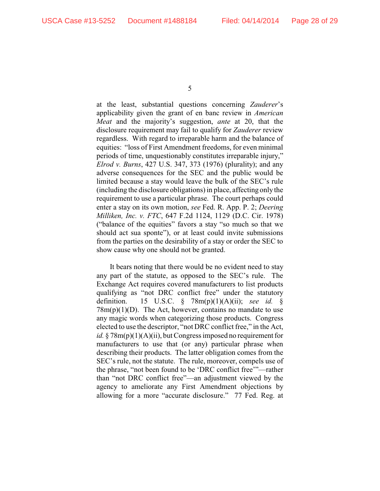at the least, substantial questions concerning *Zauderer*'s applicability given the grant of en banc review in *American Meat* and the majority's suggestion, *ante* at 20, that the disclosure requirement may fail to qualify for *Zauderer* review regardless. With regard to irreparable harm and the balance of equities: "loss of First Amendment freedoms, for even minimal periods of time, unquestionably constitutes irreparable injury," *Elrod v. Burns*, 427 U.S. 347, 373 (1976) (plurality); and any adverse consequences for the SEC and the public would be limited because a stay would leave the bulk of the SEC's rule (including the disclosure obligations) in place, affecting only the requirement to use a particular phrase. The court perhaps could enter a stay on its own motion, *see* Fed. R. App. P. 2; *Deering Milliken, Inc. v. FTC*, 647 F.2d 1124, 1129 (D.C. Cir. 1978) ("balance of the equities" favors a stay "so much so that we should act sua sponte"), or at least could invite submissions from the parties on the desirability of a stay or order the SEC to show cause why one should not be granted.

It bears noting that there would be no evident need to stay any part of the statute, as opposed to the SEC's rule. The Exchange Act requires covered manufacturers to list products qualifying as "not DRC conflict free" under the statutory definition. 15 U.S.C. § 78m(p)(1)(A)(ii); *see id.* §  $78m(p)(1)(D)$ . The Act, however, contains no mandate to use any magic words when categorizing those products. Congress elected to use the descriptor, "not DRC conflict free," in the Act, *id.* § 78m(p)(1)(A)(ii), but Congress imposed no requirement for manufacturers to use that (or any) particular phrase when describing their products. The latter obligation comes from the SEC's rule, not the statute. The rule, moreover, compels use of the phrase, "not been found to be 'DRC conflict free'"—rather than "not DRC conflict free"—an adjustment viewed by the agency to ameliorate any First Amendment objections by allowing for a more "accurate disclosure." 77 Fed. Reg. at